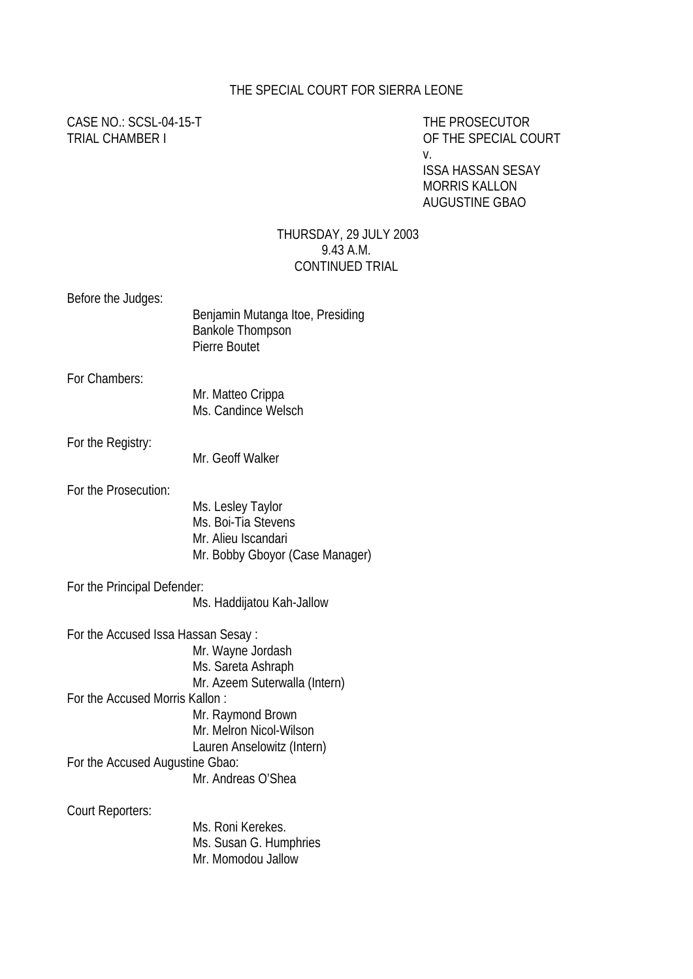### THE SPECIAL COURT FOR SIERRA LEONE

CASE NO.: SCSL-04-15-T THE PROSECUTOR

TRIAL CHAMBER I OF THE SPECIAL COURT v.

> ISSA HASSAN SESAY MORRIS KALLON AUGUSTINE GBAO

#### THURSDAY, 29 JULY 2003 9.43 A.M. CONTINUED TRIAL

Before the Judges: Benjamin Mutanga Itoe, Presiding Bankole Thompson Pierre Boutet For Chambers: Mr. Matteo Crippa Ms. Candince Welsch For the Registry: Mr. Geoff Walker For the Prosecution: Ms. Lesley Taylor Ms. Boi-Tia Stevens Mr. Alieu Iscandari Mr. Bobby Gboyor (Case Manager) For the Principal Defender: Ms. Haddijatou Kah-Jallow For the Accused Issa Hassan Sesay : Mr. Wayne Jordash Ms. Sareta Ashraph Mr. Azeem Suterwalla (Intern) For the Accused Morris Kallon : Mr. Raymond Brown Mr. Melron Nicol-Wilson Lauren Anselowitz (Intern) For the Accused Augustine Gbao: Mr. Andreas O'Shea Court Reporters: Ms. Roni Kerekes. Ms. Susan G. Humphries Mr. Momodou Jallow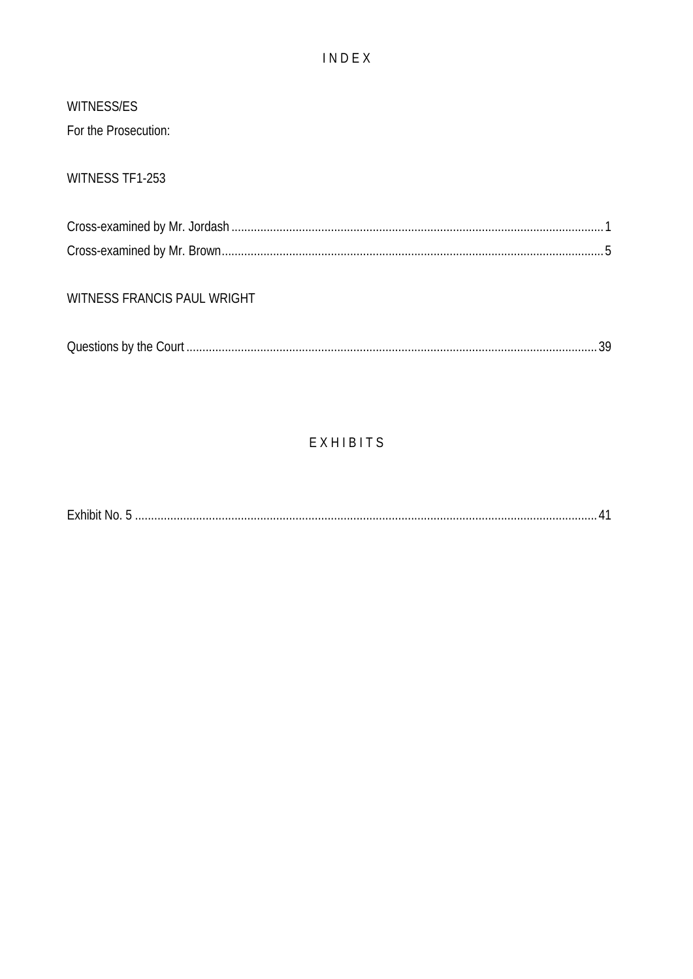### INDEX

# WITNESS/ES

For the Prosecution:

## WITNESS TF1-253

### WITNESS FRANCIS PAUL WRIGHT

|--|--|--|

## EXHIBITS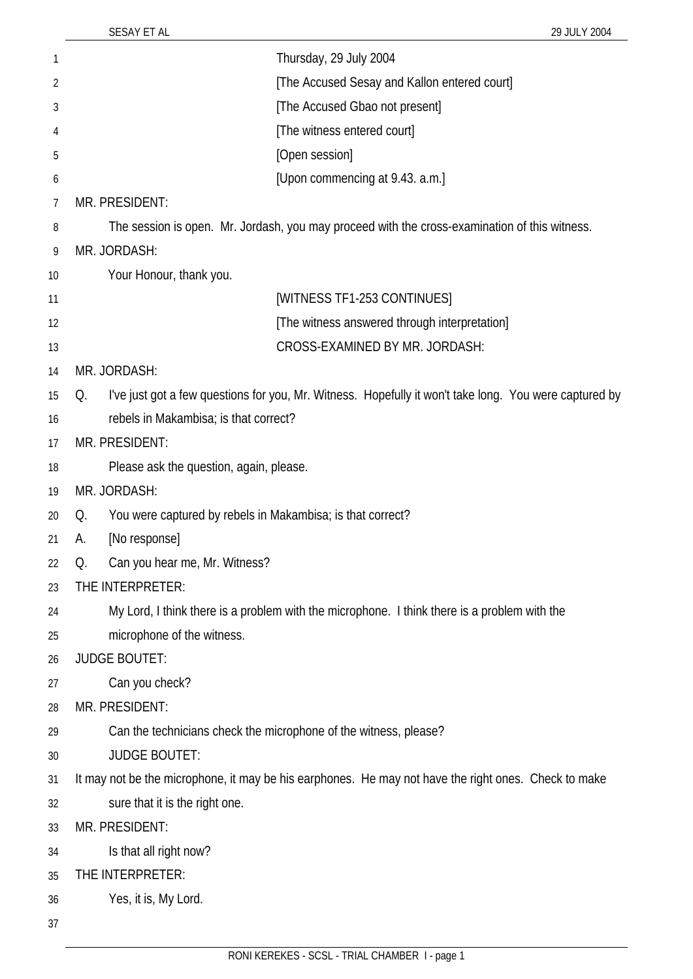| 1  | Thursday, 29 July 2004                                                                                       |
|----|--------------------------------------------------------------------------------------------------------------|
| 2  | [The Accused Sesay and Kallon entered court]                                                                 |
| 3  | [The Accused Gbao not present]                                                                               |
| 4  | [The witness entered court]                                                                                  |
| 5  | [Open session]                                                                                               |
| 6  | [Upon commencing at 9.43. a.m.]                                                                              |
| 7  | MR. PRESIDENT:                                                                                               |
| 8  | The session is open. Mr. Jordash, you may proceed with the cross-examination of this witness.                |
| 9  | MR. JORDASH:                                                                                                 |
| 10 | Your Honour, thank you.                                                                                      |
| 11 | [WITNESS TF1-253 CONTINUES]                                                                                  |
| 12 | [The witness answered through interpretation]                                                                |
| 13 | CROSS-EXAMINED BY MR. JORDASH:                                                                               |
| 14 | MR. JORDASH:                                                                                                 |
| 15 | I've just got a few questions for you, Mr. Witness. Hopefully it won't take long. You were captured by<br>Q. |
| 16 | rebels in Makambisa; is that correct?                                                                        |
| 17 | MR. PRESIDENT:                                                                                               |
| 18 | Please ask the question, again, please.                                                                      |
| 19 | MR. JORDASH:                                                                                                 |
| 20 | You were captured by rebels in Makambisa; is that correct?<br>Q.                                             |
| 21 | [No response]<br>А.                                                                                          |
| 22 | Q.<br>Can you hear me, Mr. Witness?                                                                          |
| 23 | THE INTERPRETER:                                                                                             |
| 24 | My Lord, I think there is a problem with the microphone. I think there is a problem with the                 |
| 25 | microphone of the witness.                                                                                   |
| 26 | <b>JUDGE BOUTET:</b>                                                                                         |
| 27 | Can you check?                                                                                               |
| 28 | MR. PRESIDENT:                                                                                               |
| 29 | Can the technicians check the microphone of the witness, please?                                             |
| 30 | <b>JUDGE BOUTET:</b>                                                                                         |
| 31 | It may not be the microphone, it may be his earphones. He may not have the right ones. Check to make         |
| 32 | sure that it is the right one.                                                                               |
| 33 | MR. PRESIDENT:                                                                                               |
| 34 | Is that all right now?                                                                                       |
| 35 | THE INTERPRETER:                                                                                             |
| 36 | Yes, it is, My Lord.                                                                                         |
| 37 |                                                                                                              |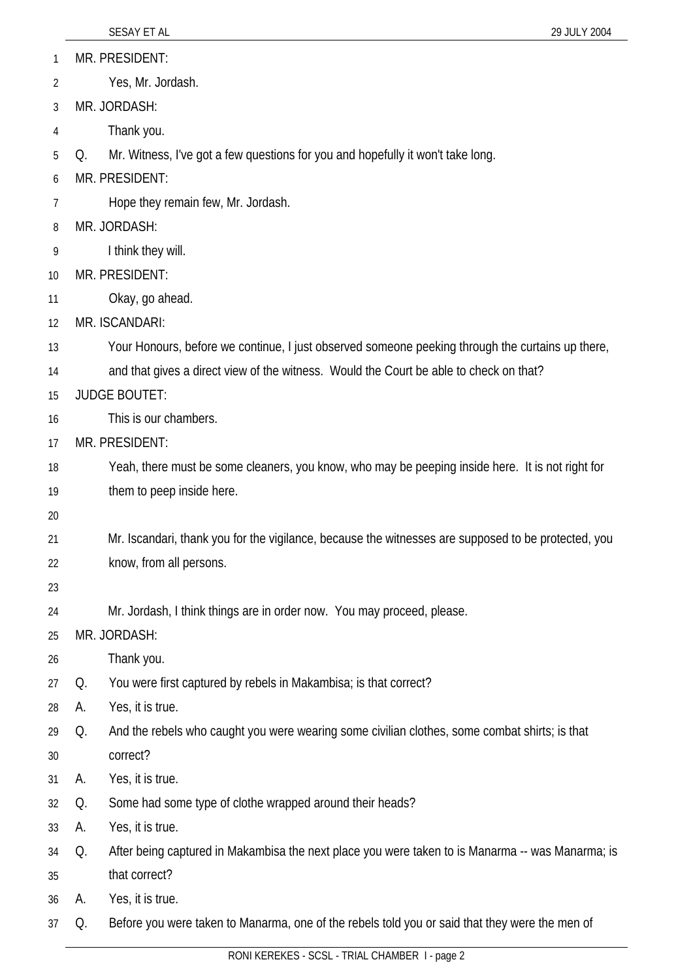|    |    | SESAY ET AL<br>29 JULY 2004                                                                         |
|----|----|-----------------------------------------------------------------------------------------------------|
| 1  |    | MR. PRESIDENT:                                                                                      |
| 2  |    | Yes, Mr. Jordash.                                                                                   |
| 3  |    | MR. JORDASH:                                                                                        |
| 4  |    | Thank you.                                                                                          |
| 5  | Q. | Mr. Witness, I've got a few questions for you and hopefully it won't take long.                     |
| 6  |    | MR. PRESIDENT:                                                                                      |
| 7  |    | Hope they remain few, Mr. Jordash.                                                                  |
| 8  |    | MR. JORDASH:                                                                                        |
| 9  |    | I think they will.                                                                                  |
| 10 |    | MR. PRESIDENT:                                                                                      |
| 11 |    | Okay, go ahead.                                                                                     |
| 12 |    | MR. ISCANDARI:                                                                                      |
| 13 |    | Your Honours, before we continue, I just observed someone peeking through the curtains up there,    |
| 14 |    | and that gives a direct view of the witness. Would the Court be able to check on that?              |
| 15 |    | <b>JUDGE BOUTET:</b>                                                                                |
| 16 |    | This is our chambers.                                                                               |
| 17 |    | MR. PRESIDENT:                                                                                      |
| 18 |    | Yeah, there must be some cleaners, you know, who may be peeping inside here. It is not right for    |
| 19 |    | them to peep inside here.                                                                           |
| 20 |    |                                                                                                     |
| 21 |    | Mr. Iscandari, thank you for the vigilance, because the witnesses are supposed to be protected, you |
| 22 |    | know, from all persons.                                                                             |
| 23 |    |                                                                                                     |
| 24 |    | Mr. Jordash, I think things are in order now. You may proceed, please.                              |
| 25 |    | MR. JORDASH:                                                                                        |
| 26 |    | Thank you.                                                                                          |
| 27 | Q. | You were first captured by rebels in Makambisa; is that correct?                                    |
| 28 | А. | Yes, it is true.                                                                                    |
| 29 | Q. | And the rebels who caught you were wearing some civilian clothes, some combat shirts; is that       |
| 30 |    | correct?                                                                                            |
| 31 | А. | Yes, it is true.                                                                                    |
| 32 | Q. | Some had some type of clothe wrapped around their heads?                                            |
| 33 | А. | Yes, it is true.                                                                                    |
| 34 | Q. | After being captured in Makambisa the next place you were taken to is Manarma -- was Manarma; is    |
| 35 |    | that correct?                                                                                       |
| 36 | А. | Yes, it is true.                                                                                    |
| 37 | Q. | Before you were taken to Manarma, one of the rebels told you or said that they were the men of      |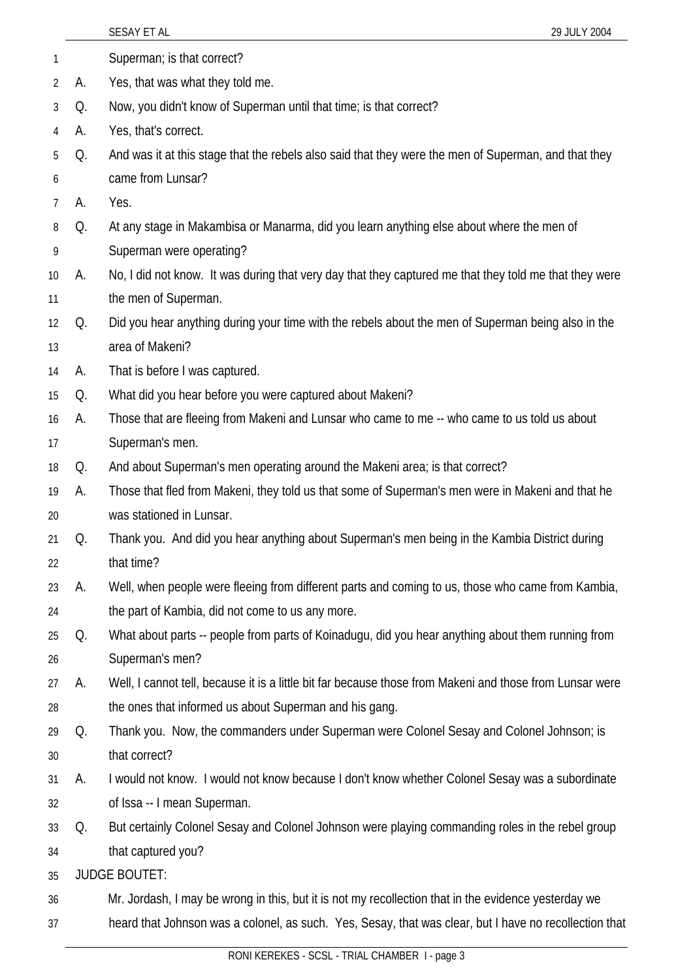|                |    | SESAY ET AL<br>29 JULY 2004                                                                              |
|----------------|----|----------------------------------------------------------------------------------------------------------|
| 1              |    | Superman; is that correct?                                                                               |
| $\overline{2}$ | А. | Yes, that was what they told me.                                                                         |
| 3              | Q. | Now, you didn't know of Superman until that time; is that correct?                                       |
| 4              | A. | Yes, that's correct.                                                                                     |
| 5              | Q. | And was it at this stage that the rebels also said that they were the men of Superman, and that they     |
| 6              |    | came from Lunsar?                                                                                        |
| 7              | А. | Yes.                                                                                                     |
| 8              | Q. | At any stage in Makambisa or Manarma, did you learn anything else about where the men of                 |
| 9              |    | Superman were operating?                                                                                 |
| 10             | А. | No, I did not know. It was during that very day that they captured me that they told me that they were   |
| 11             |    | the men of Superman.                                                                                     |
| 12             | Q. | Did you hear anything during your time with the rebels about the men of Superman being also in the       |
| 13             |    | area of Makeni?                                                                                          |
| 14             | А. | That is before I was captured.                                                                           |
| 15             | Q. | What did you hear before you were captured about Makeni?                                                 |
| 16             | А. | Those that are fleeing from Makeni and Lunsar who came to me -- who came to us told us about             |
| 17             |    | Superman's men.                                                                                          |
| 18             | Q. | And about Superman's men operating around the Makeni area; is that correct?                              |
| 19             | А. | Those that fled from Makeni, they told us that some of Superman's men were in Makeni and that he         |
| 20             |    | was stationed in Lunsar.                                                                                 |
| 21             | Q. | Thank you. And did you hear anything about Superman's men being in the Kambia District during            |
| 22             |    | that time?                                                                                               |
| 23             | А. | Well, when people were fleeing from different parts and coming to us, those who came from Kambia,        |
| 24             |    | the part of Kambia, did not come to us any more.                                                         |
| 25             | Q. | What about parts -- people from parts of Koinadugu, did you hear anything about them running from        |
| 26             |    | Superman's men?                                                                                          |
| 27             | А. | Well, I cannot tell, because it is a little bit far because those from Makeni and those from Lunsar were |
| 28             |    | the ones that informed us about Superman and his gang.                                                   |
| 29             | Q. | Thank you. Now, the commanders under Superman were Colonel Sesay and Colonel Johnson; is                 |
| 30             |    | that correct?                                                                                            |
| 31             | А. | I would not know. I would not know because I don't know whether Colonel Sesay was a subordinate          |
| 32             |    | of Issa -- I mean Superman.                                                                              |
| 33             | Q. | But certainly Colonel Sesay and Colonel Johnson were playing commanding roles in the rebel group         |
| 34             |    | that captured you?                                                                                       |
| 35             |    | <b>JUDGE BOUTET:</b>                                                                                     |
| 36             |    | Mr. Jordash, I may be wrong in this, but it is not my recollection that in the evidence yesterday we     |
| 37             |    | heard that Johnson was a colonel, as such. Yes, Sesay, that was clear, but I have no recollection that   |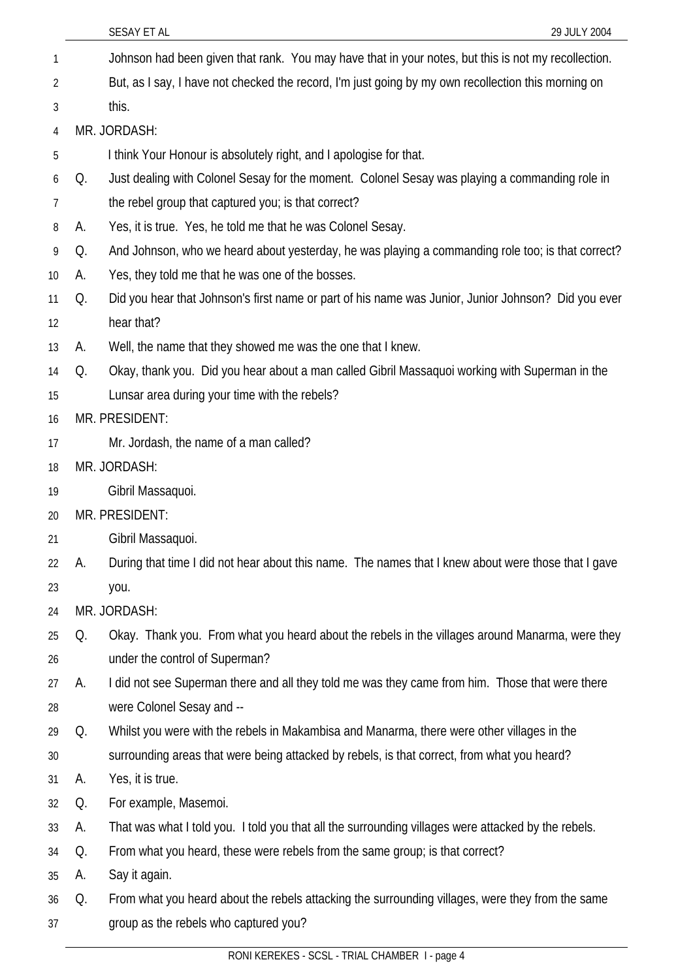| 1  |    | Johnson had been given that rank. You may have that in your notes, but this is not my recollection. |
|----|----|-----------------------------------------------------------------------------------------------------|
| 2  |    | But, as I say, I have not checked the record, I'm just going by my own recollection this morning on |
| 3  |    | this.                                                                                               |
| 4  |    | MR. JORDASH:                                                                                        |
| 5  |    | I think Your Honour is absolutely right, and I apologise for that.                                  |
| 6  | Q. | Just dealing with Colonel Sesay for the moment. Colonel Sesay was playing a commanding role in      |
| 7  |    | the rebel group that captured you; is that correct?                                                 |
| 8  | А. | Yes, it is true. Yes, he told me that he was Colonel Sesay.                                         |
| 9  | Q. | And Johnson, who we heard about yesterday, he was playing a commanding role too; is that correct?   |
| 10 | А. | Yes, they told me that he was one of the bosses.                                                    |
| 11 | Q. | Did you hear that Johnson's first name or part of his name was Junior, Junior Johnson? Did you ever |
| 12 |    | hear that?                                                                                          |
| 13 | А. | Well, the name that they showed me was the one that I knew.                                         |
| 14 | Q. | Okay, thank you. Did you hear about a man called Gibril Massaquoi working with Superman in the      |
| 15 |    | Lunsar area during your time with the rebels?                                                       |
| 16 |    | MR. PRESIDENT:                                                                                      |
| 17 |    | Mr. Jordash, the name of a man called?                                                              |
| 18 |    | MR. JORDASH:                                                                                        |
| 19 |    | Gibril Massaquoi.                                                                                   |
| 20 |    | MR. PRESIDENT:                                                                                      |
| 21 |    | Gibril Massaquoi.                                                                                   |
| 22 | А. | During that time I did not hear about this name. The names that I knew about were those that I gave |
| 23 |    | you.                                                                                                |
| 24 |    | MR. JORDASH:                                                                                        |
| 25 | Q. | Okay. Thank you. From what you heard about the rebels in the villages around Manarma, were they     |
| 26 |    | under the control of Superman?                                                                      |
| 27 | А. | I did not see Superman there and all they told me was they came from him. Those that were there     |
| 28 |    | were Colonel Sesay and --                                                                           |
| 29 | Q. | Whilst you were with the rebels in Makambisa and Manarma, there were other villages in the          |
| 30 |    | surrounding areas that were being attacked by rebels, is that correct, from what you heard?         |
| 31 | А. | Yes, it is true.                                                                                    |
| 32 | Q. | For example, Masemoi.                                                                               |
| 33 | A. | That was what I told you. I told you that all the surrounding villages were attacked by the rebels. |
| 34 | Q. | From what you heard, these were rebels from the same group; is that correct?                        |
| 35 | A. | Say it again.                                                                                       |
| 36 | Q. | From what you heard about the rebels attacking the surrounding villages, were they from the same    |
| 37 |    | group as the rebels who captured you?                                                               |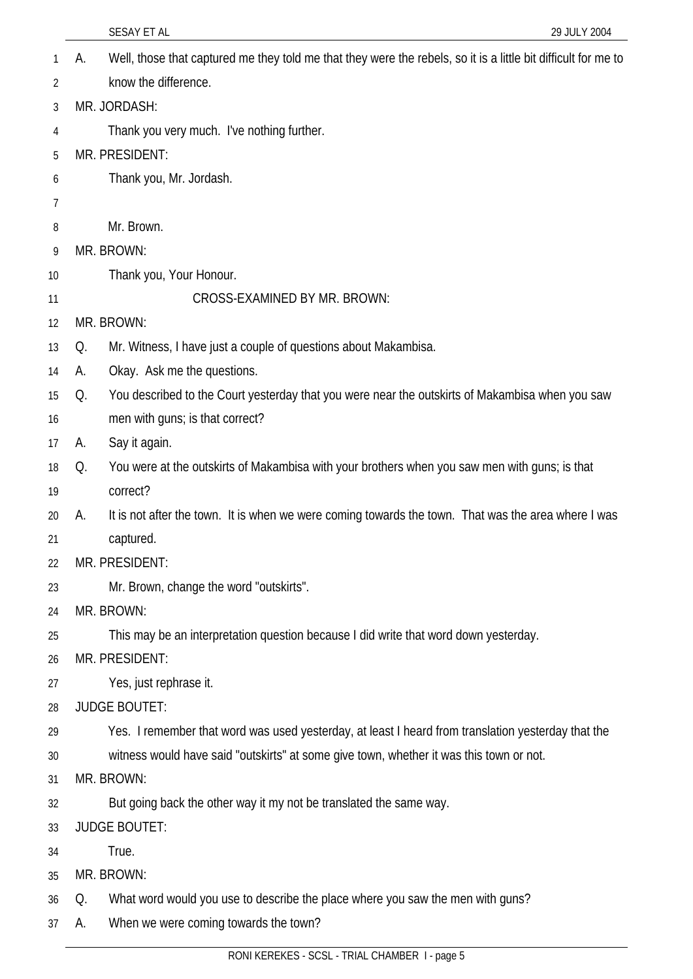|    | 29 JULY 2004<br>SESAY ET AL                                                                                          |
|----|----------------------------------------------------------------------------------------------------------------------|
| 1  | Well, those that captured me they told me that they were the rebels, so it is a little bit difficult for me to<br>А. |
| 2  | know the difference.                                                                                                 |
| 3  | MR. JORDASH:                                                                                                         |
| 4  | Thank you very much. I've nothing further.                                                                           |
| 5  | MR. PRESIDENT:                                                                                                       |
| 6  | Thank you, Mr. Jordash.                                                                                              |
| 7  |                                                                                                                      |
| 8  | Mr. Brown.                                                                                                           |
| 9  | MR. BROWN:                                                                                                           |
| 10 | Thank you, Your Honour.                                                                                              |
| 11 | CROSS-EXAMINED BY MR. BROWN:                                                                                         |
| 12 | MR. BROWN:                                                                                                           |
| 13 | Mr. Witness, I have just a couple of questions about Makambisa.<br>Q.                                                |
| 14 | Okay. Ask me the questions.<br>А.                                                                                    |
| 15 | You described to the Court yesterday that you were near the outskirts of Makambisa when you saw<br>Q.                |
| 16 | men with guns; is that correct?                                                                                      |
| 17 | Say it again.<br>А.                                                                                                  |
| 18 | You were at the outskirts of Makambisa with your brothers when you saw men with guns; is that<br>Q.                  |
| 19 | correct?                                                                                                             |
| 20 | It is not after the town. It is when we were coming towards the town. That was the area where I was<br>А.            |
| 21 | captured.                                                                                                            |
| 22 | MR. PRESIDENT:                                                                                                       |
| 23 | Mr. Brown, change the word "outskirts".                                                                              |
| 24 | MR. BROWN:                                                                                                           |
| 25 | This may be an interpretation question because I did write that word down yesterday.                                 |
| 26 | MR. PRESIDENT:                                                                                                       |
| 27 | Yes, just rephrase it.                                                                                               |
| 28 | <b>JUDGE BOUTET:</b>                                                                                                 |
| 29 | Yes. I remember that word was used yesterday, at least I heard from translation yesterday that the                   |
| 30 | witness would have said "outskirts" at some give town, whether it was this town or not.                              |
| 31 | MR. BROWN:                                                                                                           |
| 32 | But going back the other way it my not be translated the same way.                                                   |
| 33 | <b>JUDGE BOUTET:</b>                                                                                                 |
| 34 | True.                                                                                                                |
| 35 | MR. BROWN:                                                                                                           |
| 36 | What word would you use to describe the place where you saw the men with guns?<br>Q.                                 |
| 37 | When we were coming towards the town?<br>А.                                                                          |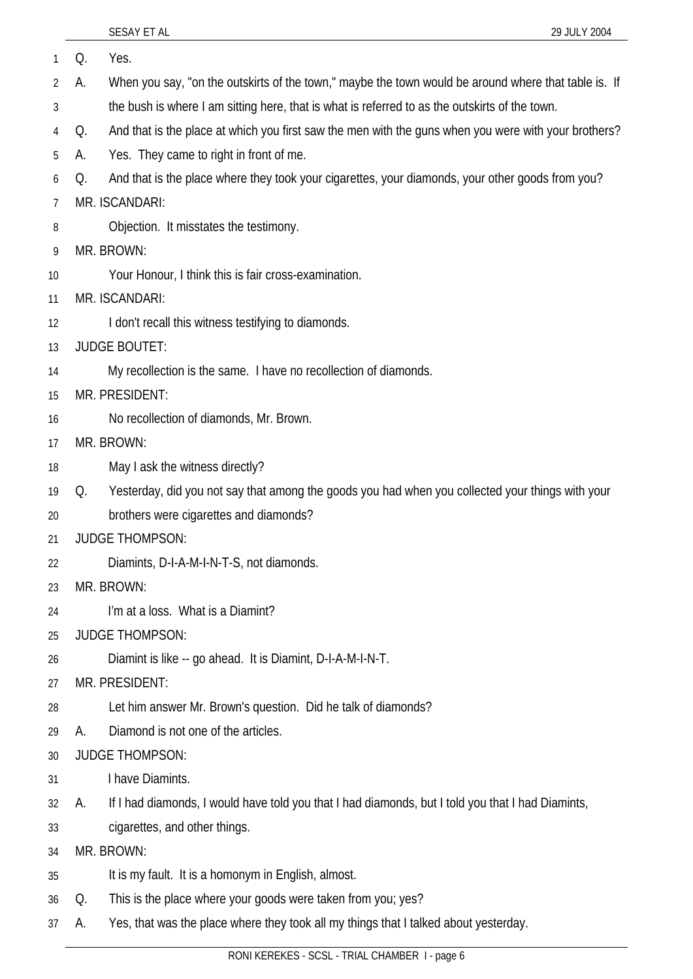| 1  | Q. | Yes.                                                                                                 |
|----|----|------------------------------------------------------------------------------------------------------|
| 2  | А. | When you say, "on the outskirts of the town," maybe the town would be around where that table is. If |
| 3  |    | the bush is where I am sitting here, that is what is referred to as the outskirts of the town.       |
| 4  | Q. | And that is the place at which you first saw the men with the guns when you were with your brothers? |
| 5  | А. | Yes. They came to right in front of me.                                                              |
| 6  | Q. | And that is the place where they took your cigarettes, your diamonds, your other goods from you?     |
| 7  |    | MR. ISCANDARI:                                                                                       |
| 8  |    | Objection. It misstates the testimony.                                                               |
| 9  |    | MR. BROWN:                                                                                           |
| 10 |    | Your Honour, I think this is fair cross-examination.                                                 |
| 11 |    | MR. ISCANDARI:                                                                                       |
| 12 |    | I don't recall this witness testifying to diamonds.                                                  |
| 13 |    | <b>JUDGE BOUTET:</b>                                                                                 |
| 14 |    | My recollection is the same. I have no recollection of diamonds.                                     |
| 15 |    | MR. PRESIDENT:                                                                                       |
| 16 |    | No recollection of diamonds, Mr. Brown.                                                              |
| 17 |    | MR. BROWN:                                                                                           |
| 18 |    | May I ask the witness directly?                                                                      |
| 19 | Q. | Yesterday, did you not say that among the goods you had when you collected your things with your     |
| 20 |    | brothers were cigarettes and diamonds?                                                               |
| 21 |    | <b>JUDGE THOMPSON:</b>                                                                               |
| 22 |    | Diamints, D-I-A-M-I-N-T-S, not diamonds.                                                             |
| 23 |    | MR. BROWN:                                                                                           |
| 24 |    | I'm at a loss. What is a Diamint?                                                                    |
| 25 |    | <b>JUDGE THOMPSON:</b>                                                                               |
| 26 |    | Diamint is like -- go ahead. It is Diamint, D-I-A-M-I-N-T.                                           |
| 27 |    | MR. PRESIDENT:                                                                                       |
| 28 |    | Let him answer Mr. Brown's question. Did he talk of diamonds?                                        |
| 29 | А. | Diamond is not one of the articles.                                                                  |
| 30 |    | <b>JUDGE THOMPSON:</b>                                                                               |
| 31 |    | I have Diamints.                                                                                     |
| 32 | А. | If I had diamonds, I would have told you that I had diamonds, but I told you that I had Diamints,    |
| 33 |    | cigarettes, and other things.                                                                        |
| 34 |    | MR. BROWN:                                                                                           |
| 35 |    | It is my fault. It is a homonym in English, almost.                                                  |
| 36 | Q. | This is the place where your goods were taken from you; yes?                                         |
| 37 | A. | Yes, that was the place where they took all my things that I talked about yesterday.                 |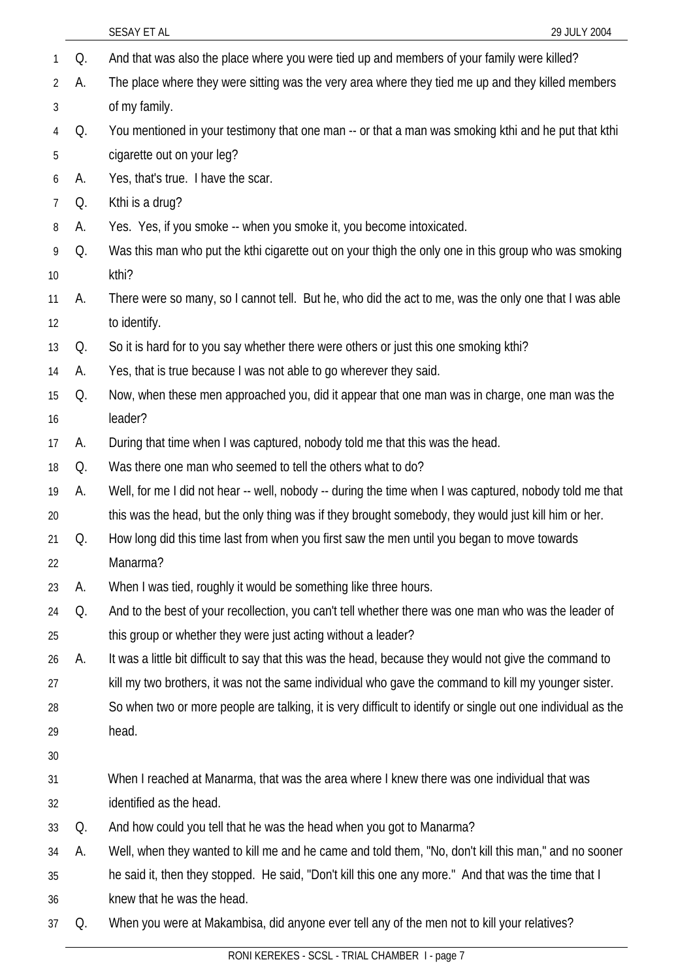|                |    | 29 JULY 2004<br>SESAY ET AL                                                                                  |
|----------------|----|--------------------------------------------------------------------------------------------------------------|
| 1              | Q. | And that was also the place where you were tied up and members of your family were killed?                   |
| 2              | А. | The place where they were sitting was the very area where they tied me up and they killed members            |
| 3              |    | of my family.                                                                                                |
| 4              | Q. | You mentioned in your testimony that one man -- or that a man was smoking kthi and he put that kthi          |
| 5              |    | cigarette out on your leg?                                                                                   |
| 6              | А. | Yes, that's true. I have the scar.                                                                           |
| $\overline{7}$ | Q. | Kthi is a drug?                                                                                              |
| 8              | А. | Yes. Yes, if you smoke -- when you smoke it, you become intoxicated.                                         |
| 9              | Q. | Was this man who put the kthi cigarette out on your thigh the only one in this group who was smoking         |
| 10             |    | kthi?                                                                                                        |
| 11             | А. | There were so many, so I cannot tell. But he, who did the act to me, was the only one that I was able        |
| 12             |    | to identify.                                                                                                 |
| 13             | Q. | So it is hard for to you say whether there were others or just this one smoking kthi?                        |
| 14             | A. | Yes, that is true because I was not able to go wherever they said.                                           |
| 15             | Q. | Now, when these men approached you, did it appear that one man was in charge, one man was the                |
| 16             |    | leader?                                                                                                      |
| 17             | А. | During that time when I was captured, nobody told me that this was the head.                                 |
| 18             | Q. | Was there one man who seemed to tell the others what to do?                                                  |
| 19             | А. | Well, for me I did not hear -- well, nobody -- during the time when I was captured, nobody told me that      |
| 20             |    | this was the head, but the only thing was if they brought somebody, they would just kill him or her.         |
| 21             | Q. | How long did this time last from when you first saw the men until you began to move towards                  |
| 22             |    | Manarma?                                                                                                     |
| 23             | А. | When I was tied, roughly it would be something like three hours.                                             |
| 24             | Q. | And to the best of your recollection, you can't tell whether there was one man who was the leader of         |
| 25             |    | this group or whether they were just acting without a leader?                                                |
| 26             | А. | It was a little bit difficult to say that this was the head, because they would not give the command to      |
| 27             |    | kill my two brothers, it was not the same individual who gave the command to kill my younger sister.         |
| 28             |    | So when two or more people are talking, it is very difficult to identify or single out one individual as the |
| 29             |    | head.                                                                                                        |
| 30             |    |                                                                                                              |
| 31             |    | When I reached at Manarma, that was the area where I knew there was one individual that was                  |
| 32             |    | identified as the head.                                                                                      |
| 33             | Q. | And how could you tell that he was the head when you got to Manarma?                                         |
| 34             | А. | Well, when they wanted to kill me and he came and told them, "No, don't kill this man," and no sooner        |
| 35             |    | he said it, then they stopped. He said, "Don't kill this one any more." And that was the time that I         |
| 36             |    | knew that he was the head.                                                                                   |
| 37             | Q. | When you were at Makambisa, did anyone ever tell any of the men not to kill your relatives?                  |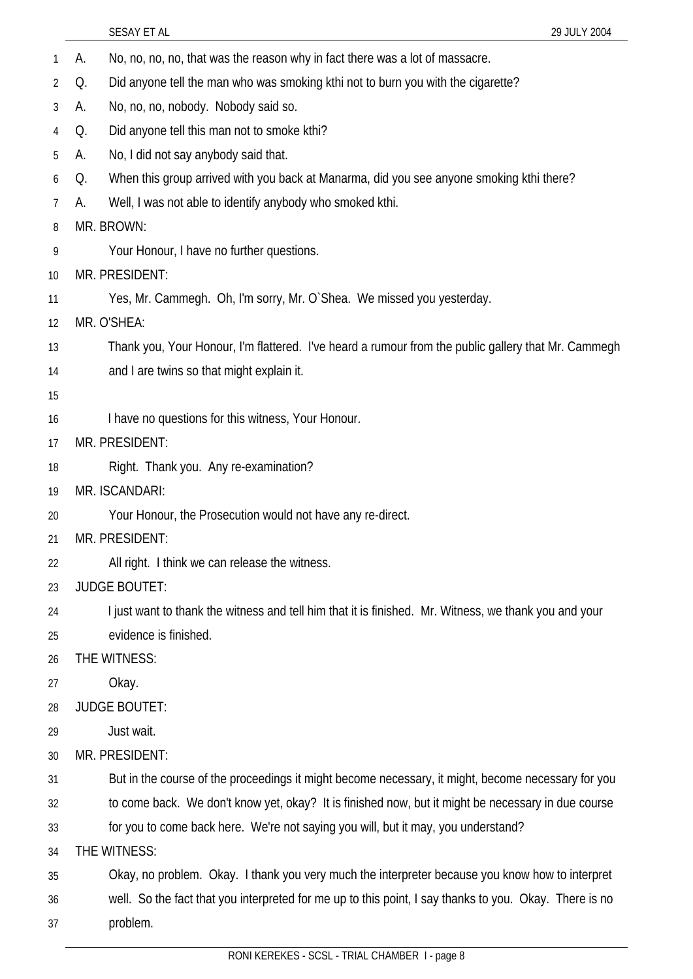SESAY ET AL 29 JULY 2004 1 A. No, no, no, no, that was the reason why in fact there was a lot of massacre. 2 3 4 5 6 7 8 9 10 11 12 13 14 15 16 17 18 19 20 21 22 23 24 25 26 27 28 29 30 31 32 33 34 35 36 37 Q. Did anyone tell the man who was smoking kthi not to burn you with the cigarette? A. No, no, no, nobody. Nobody said so. Q. Did anyone tell this man not to smoke kthi? A. No, I did not say anybody said that. Q. When this group arrived with you back at Manarma, did you see anyone smoking kthi there? A. Well, I was not able to identify anybody who smoked kthi. MR. BROWN: Your Honour, I have no further questions. MR. PRESIDENT: Yes, Mr. Cammegh. Oh, I'm sorry, Mr. O`Shea. We missed you yesterday. MR. O'SHEA: Thank you, Your Honour, I'm flattered. I've heard a rumour from the public gallery that Mr. Cammegh and I are twins so that might explain it. I have no questions for this witness, Your Honour. MR. PRESIDENT: Right. Thank you. Any re-examination? MR. ISCANDARI: Your Honour, the Prosecution would not have any re-direct. MR. PRESIDENT: All right. I think we can release the witness. JUDGE BOUTET: I just want to thank the witness and tell him that it is finished. Mr. Witness, we thank you and your evidence is finished. THE WITNESS: Okay. JUDGE BOUTET: Just wait. MR. PRESIDENT: But in the course of the proceedings it might become necessary, it might, become necessary for you to come back. We don't know yet, okay? It is finished now, but it might be necessary in due course for you to come back here. We're not saying you will, but it may, you understand? THE WITNESS: Okay, no problem. Okay. I thank you very much the interpreter because you know how to interpret well. So the fact that you interpreted for me up to this point, I say thanks to you. Okay. There is no problem.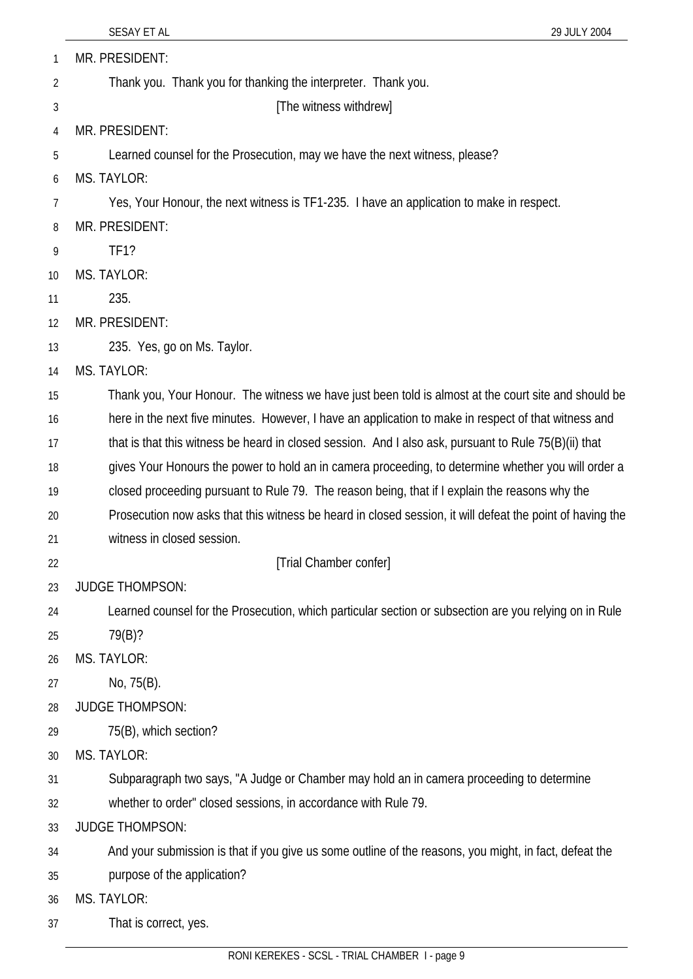| 1              | MR. PRESIDENT:                                                                                            |
|----------------|-----------------------------------------------------------------------------------------------------------|
| $\overline{2}$ | Thank you. Thank you for thanking the interpreter. Thank you.                                             |
| 3              | [The witness withdrew]                                                                                    |
| 4              | MR. PRESIDENT:                                                                                            |
| 5              | Learned counsel for the Prosecution, may we have the next witness, please?                                |
| 6              | MS. TAYLOR:                                                                                               |
| 7              | Yes, Your Honour, the next witness is TF1-235. I have an application to make in respect.                  |
| 8              | MR. PRESIDENT:                                                                                            |
| 9              | <b>TF1?</b>                                                                                               |
| 10             | <b>MS. TAYLOR:</b>                                                                                        |
| 11             | 235.                                                                                                      |
| 12             | MR. PRESIDENT:                                                                                            |
| 13             | 235. Yes, go on Ms. Taylor.                                                                               |
| 14             | MS. TAYLOR:                                                                                               |
| 15             | Thank you, Your Honour. The witness we have just been told is almost at the court site and should be      |
| 16             | here in the next five minutes. However, I have an application to make in respect of that witness and      |
| 17             | that is that this witness be heard in closed session. And I also ask, pursuant to Rule 75(B)(ii) that     |
| 18             | gives Your Honours the power to hold an in camera proceeding, to determine whether you will order a       |
| 19             | closed proceeding pursuant to Rule 79. The reason being, that if I explain the reasons why the            |
| 20             | Prosecution now asks that this witness be heard in closed session, it will defeat the point of having the |
| 21             | witness in closed session.                                                                                |
| 22             | [Trial Chamber confer]                                                                                    |
| 23             | <b>JUDGE THOMPSON:</b>                                                                                    |
| 24             | Learned counsel for the Prosecution, which particular section or subsection are you relying on in Rule    |
| 25             | 79(B)?                                                                                                    |
| 26             | MS. TAYLOR:                                                                                               |
| 27             | No, 75(B).                                                                                                |
| 28             | <b>JUDGE THOMPSON:</b>                                                                                    |
| 29             | 75(B), which section?                                                                                     |
| 30             | MS. TAYLOR:                                                                                               |
| 31             | Subparagraph two says, "A Judge or Chamber may hold an in camera proceeding to determine                  |
| 32             | whether to order" closed sessions, in accordance with Rule 79.                                            |
| 33             | <b>JUDGE THOMPSON:</b>                                                                                    |
| 34             | And your submission is that if you give us some outline of the reasons, you might, in fact, defeat the    |
| 35             | purpose of the application?                                                                               |
| 36             | MS. TAYLOR:                                                                                               |
| 37             | That is correct, yes.                                                                                     |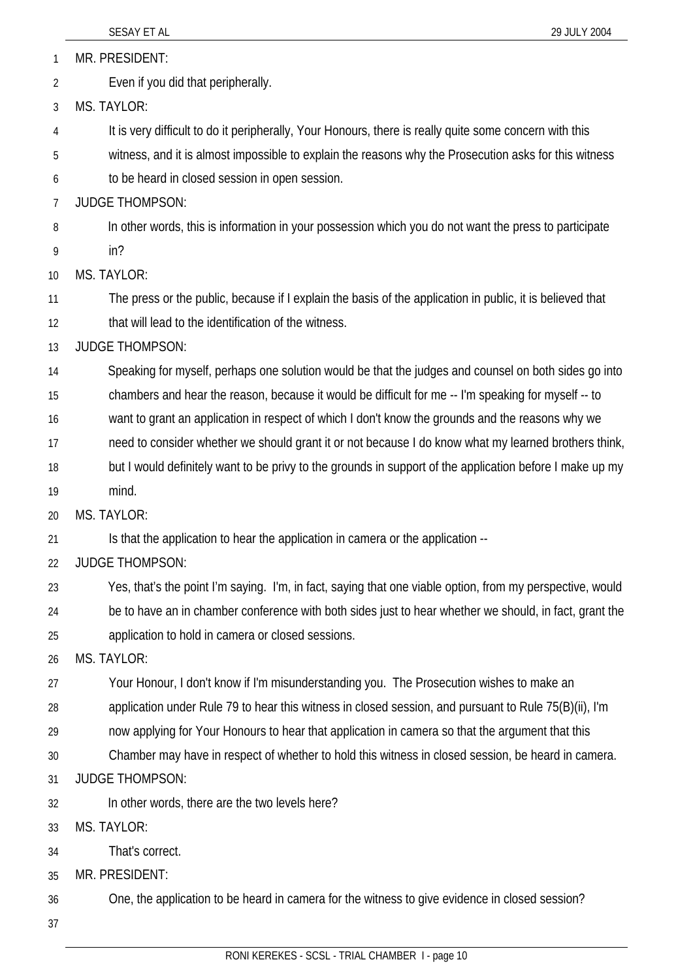MR. PRESIDENT: 1

Even if you did that peripherally. 2

3 MS. TAYLOR:

4 It is very difficult to do it peripherally, Your Honours, there is really quite some concern with this

5 witness, and it is almost impossible to explain the reasons why the Prosecution asks for this witness

6 to be heard in closed session in open session.

7 JUDGE THOMPSON:

8 In other words, this is information in your possession which you do not want the press to participate

9 in?

10 MS. TAYLOR:

11 The press or the public, because if I explain the basis of the application in public, it is believed that

12 that will lead to the identification of the witness.

13 JUDGE THOMPSON:

14 Speaking for myself, perhaps one solution would be that the judges and counsel on both sides go into

15 chambers and hear the reason, because it would be difficult for me -- I'm speaking for myself -- to

16 want to grant an application in respect of which I don't know the grounds and the reasons why we

17 need to consider whether we should grant it or not because I do know what my learned brothers think,

18 but I would definitely want to be privy to the grounds in support of the application before I make up my

19 mind.

20 MS. TAYLOR:

21 Is that the application to hear the application in camera or the application --

22 JUDGE THOMPSON:

23 24 25 Yes, that's the point I'm saying. I'm, in fact, saying that one viable option, from my perspective, would be to have an in chamber conference with both sides just to hear whether we should, in fact, grant the application to hold in camera or closed sessions.

26 MS. TAYLOR:

27 Your Honour, I don't know if I'm misunderstanding you. The Prosecution wishes to make an

28 application under Rule 79 to hear this witness in closed session, and pursuant to Rule 75(B)(ii), I'm

29 now applying for Your Honours to hear that application in camera so that the argument that this

30 Chamber may have in respect of whether to hold this witness in closed session, be heard in camera.

31 JUDGE THOMPSON:

32 In other words, there are the two levels here?

33 MS. TAYLOR:

34 That's correct.

35 MR. PRESIDENT:

36 One, the application to be heard in camera for the witness to give evidence in closed session?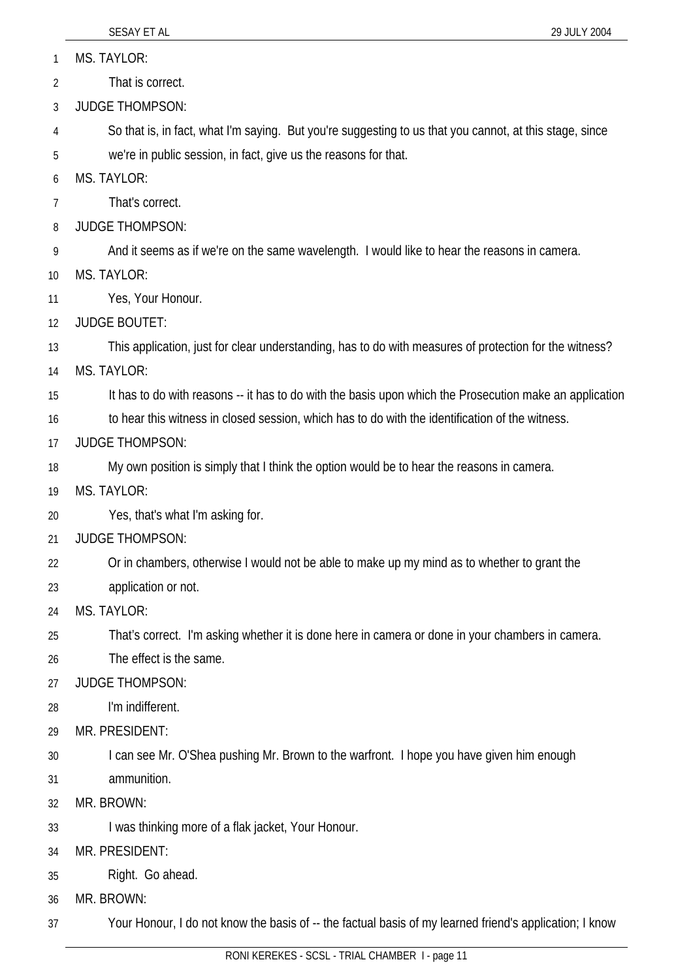|    | SESAY ET AL<br>29 JULY 2004                                                                             |
|----|---------------------------------------------------------------------------------------------------------|
| 1  | MS. TAYLOR:                                                                                             |
| 2  | That is correct.                                                                                        |
| 3  | <b>JUDGE THOMPSON:</b>                                                                                  |
| 4  | So that is, in fact, what I'm saying. But you're suggesting to us that you cannot, at this stage, since |
| 5  | we're in public session, in fact, give us the reasons for that.                                         |
| 6  | <b>MS. TAYLOR:</b>                                                                                      |
| 7  | That's correct.                                                                                         |
| 8  | <b>JUDGE THOMPSON:</b>                                                                                  |
| 9  | And it seems as if we're on the same wavelength. I would like to hear the reasons in camera.            |
| 10 | <b>MS. TAYLOR:</b>                                                                                      |
| 11 | Yes, Your Honour.                                                                                       |
| 12 | <b>JUDGE BOUTET:</b>                                                                                    |
| 13 | This application, just for clear understanding, has to do with measures of protection for the witness?  |
| 14 | <b>MS. TAYLOR:</b>                                                                                      |
| 15 | It has to do with reasons -- it has to do with the basis upon which the Prosecution make an application |
| 16 | to hear this witness in closed session, which has to do with the identification of the witness.         |
| 17 | <b>JUDGE THOMPSON:</b>                                                                                  |
| 18 | My own position is simply that I think the option would be to hear the reasons in camera.               |
| 19 | <b>MS. TAYLOR:</b>                                                                                      |
| 20 | Yes, that's what I'm asking for.                                                                        |
| 21 | <b>JUDGE THOMPSON:</b>                                                                                  |
| 22 | Or in chambers, otherwise I would not be able to make up my mind as to whether to grant the             |
| 23 | application or not.                                                                                     |
| 24 | <b>MS. TAYLOR:</b>                                                                                      |
| 25 | That's correct. I'm asking whether it is done here in camera or done in your chambers in camera.        |
| 26 | The effect is the same.                                                                                 |
| 27 | <b>JUDGE THOMPSON:</b>                                                                                  |
| 28 | I'm indifferent.                                                                                        |
| 29 | MR. PRESIDENT:                                                                                          |
| 30 | I can see Mr. O'Shea pushing Mr. Brown to the warfront. I hope you have given him enough                |
| 31 | ammunition.                                                                                             |
| 32 | MR. BROWN:                                                                                              |
| 33 | I was thinking more of a flak jacket, Your Honour.                                                      |
| 34 | MR. PRESIDENT:                                                                                          |
| 35 | Right. Go ahead.                                                                                        |
| 36 | MR. BROWN:                                                                                              |
| 37 | Your Honour, I do not know the basis of -- the factual basis of my learned friend's application; I know |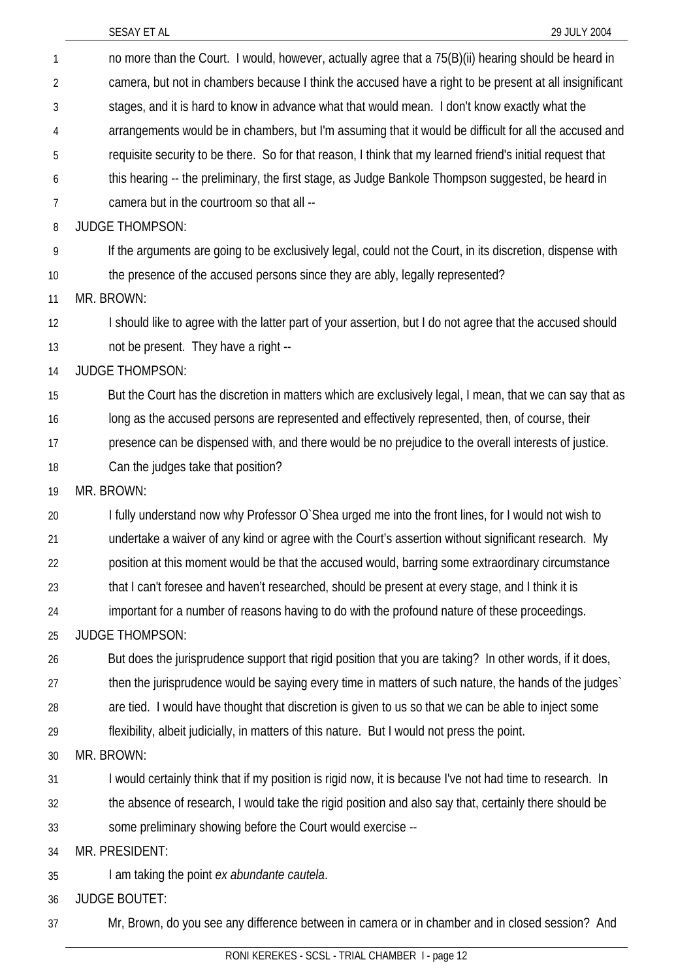| 1              | no more than the Court. I would, however, actually agree that a 75(B)(ii) hearing should be heard in      |
|----------------|-----------------------------------------------------------------------------------------------------------|
| $\overline{2}$ | camera, but not in chambers because I think the accused have a right to be present at all insignificant   |
| 3              | stages, and it is hard to know in advance what that would mean. I don't know exactly what the             |
| 4              | arrangements would be in chambers, but I'm assuming that it would be difficult for all the accused and    |
| 5              | requisite security to be there. So for that reason, I think that my learned friend's initial request that |
| 6              | this hearing -- the preliminary, the first stage, as Judge Bankole Thompson suggested, be heard in        |
| 7              | camera but in the courtroom so that all --                                                                |
| 8              | <b>JUDGE THOMPSON:</b>                                                                                    |
| 9              | If the arguments are going to be exclusively legal, could not the Court, in its discretion, dispense with |
| 10             | the presence of the accused persons since they are ably, legally represented?                             |
| 11             | MR. BROWN:                                                                                                |
| 12             | I should like to agree with the latter part of your assertion, but I do not agree that the accused should |
| 13             | not be present. They have a right --                                                                      |
| 14             | <b>JUDGE THOMPSON:</b>                                                                                    |
| 15             | But the Court has the discretion in matters which are exclusively legal, I mean, that we can say that as  |
| 16             | long as the accused persons are represented and effectively represented, then, of course, their           |
| 17             | presence can be dispensed with, and there would be no prejudice to the overall interests of justice.      |
| 18             | Can the judges take that position?                                                                        |
| 19             | MR. BROWN:                                                                                                |
| 20             | I fully understand now why Professor O'Shea urged me into the front lines, for I would not wish to        |
| 21             | undertake a waiver of any kind or agree with the Court's assertion without significant research. My       |
| 22             | position at this moment would be that the accused would, barring some extraordinary circumstance          |
| 23             | that I can't foresee and haven't researched, should be present at every stage, and I think it is          |
| 24             | important for a number of reasons having to do with the profound nature of these proceedings.             |
| 25             | <b>JUDGE THOMPSON:</b>                                                                                    |
| 26             | But does the jurisprudence support that rigid position that you are taking? In other words, if it does,   |
| 27             | then the jurisprudence would be saying every time in matters of such nature, the hands of the judges      |
| 28             | are tied. I would have thought that discretion is given to us so that we can be able to inject some       |
| 29             | flexibility, albeit judicially, in matters of this nature. But I would not press the point.               |
| 30             | MR. BROWN:                                                                                                |
| 31             | I would certainly think that if my position is rigid now, it is because I've not had time to research. In |
| 32             | the absence of research, I would take the rigid position and also say that, certainly there should be     |
| 33             | some preliminary showing before the Court would exercise --                                               |
| 34             | MR. PRESIDENT:                                                                                            |
| 35             | I am taking the point ex abundante cautela.                                                               |
| 36             | <b>JUDGE BOUTET:</b>                                                                                      |

37 Mr, Brown, do you see any difference between in camera or in chamber and in closed session? And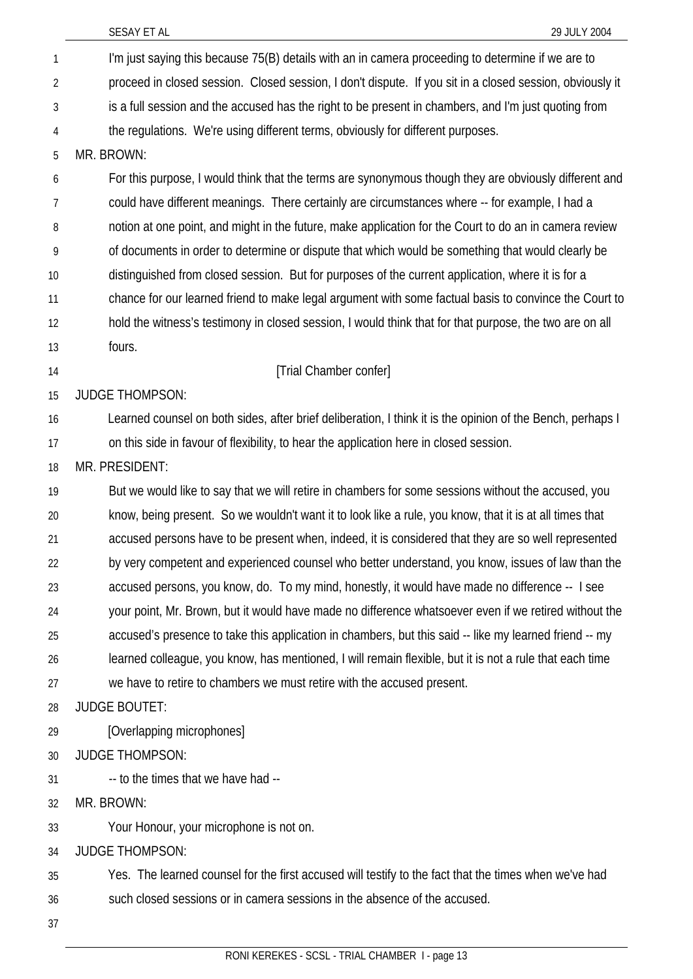I'm just saying this because 75(B) details with an in camera proceeding to determine if we are to proceed in closed session. Closed session, I don't dispute. If you sit in a closed session, obviously it is a full session and the accused has the right to be present in chambers, and I'm just quoting from the regulations. We're using different terms, obviously for different purposes. 1 2 3 4 5 6 7 8 9 10 11 12 13 14 15 16 17 18 19 20 21 22 23 24 25 26 27 28 29 30 31 32 33 34 35 36 MR. BROWN: For this purpose, I would think that the terms are synonymous though they are obviously different and could have different meanings. There certainly are circumstances where -- for example, I had a notion at one point, and might in the future, make application for the Court to do an in camera review of documents in order to determine or dispute that which would be something that would clearly be distinguished from closed session. But for purposes of the current application, where it is for a chance for our learned friend to make legal argument with some factual basis to convince the Court to hold the witness's testimony in closed session, I would think that for that purpose, the two are on all fours. [Trial Chamber confer] JUDGE THOMPSON: Learned counsel on both sides, after brief deliberation, I think it is the opinion of the Bench, perhaps I on this side in favour of flexibility, to hear the application here in closed session. MR. PRESIDENT: But we would like to say that we will retire in chambers for some sessions without the accused, you know, being present. So we wouldn't want it to look like a rule, you know, that it is at all times that accused persons have to be present when, indeed, it is considered that they are so well represented by very competent and experienced counsel who better understand, you know, issues of law than the accused persons, you know, do. To my mind, honestly, it would have made no difference -- I see your point, Mr. Brown, but it would have made no difference whatsoever even if we retired without the accused's presence to take this application in chambers, but this said -- like my learned friend -- my learned colleague, you know, has mentioned, I will remain flexible, but it is not a rule that each time we have to retire to chambers we must retire with the accused present. JUDGE BOUTET: [Overlapping microphones] JUDGE THOMPSON: -- to the times that we have had -- MR. BROWN: Your Honour, your microphone is not on. JUDGE THOMPSON: Yes. The learned counsel for the first accused will testify to the fact that the times when we've had such closed sessions or in camera sessions in the absence of the accused.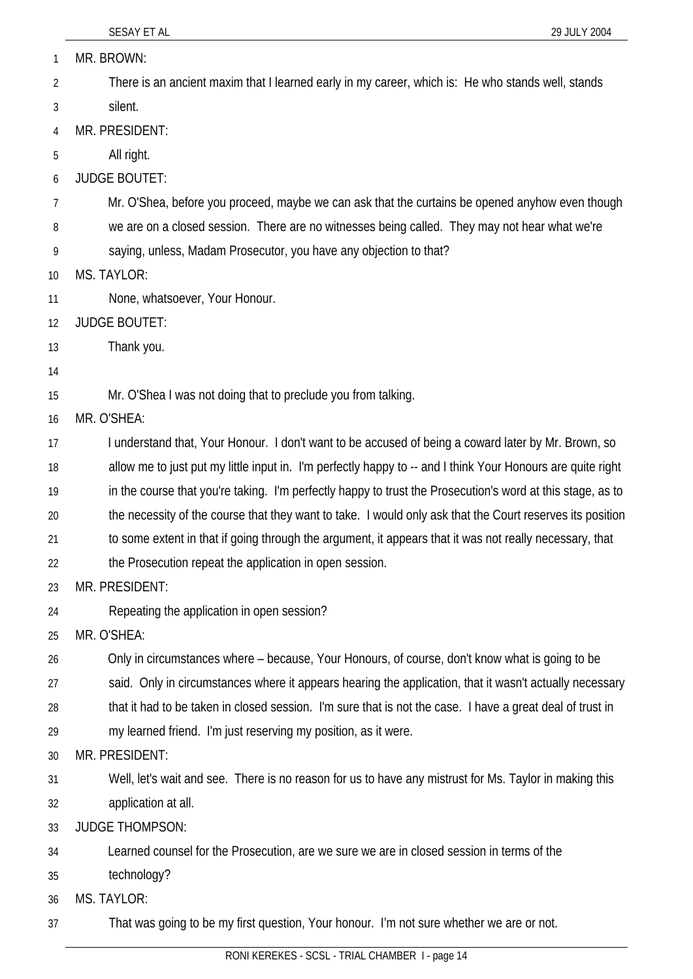SESAY ET AL 29 JULY 2004 MR. BROWN: There is an ancient maxim that I learned early in my career, which is: He who stands well, stands silent. 1 2 3 4 5 6 7 8 9 10 11 12 13 14 15 16 17 18 19 20 21 22 23 24 25 26 27 28 29 30 31 32 33 34 35 36 37 MR. PRESIDENT: All right. JUDGE BOUTET: Mr. O'Shea, before you proceed, maybe we can ask that the curtains be opened anyhow even though we are on a closed session. There are no witnesses being called. They may not hear what we're saying, unless, Madam Prosecutor, you have any objection to that? MS. TAYLOR: None, whatsoever, Your Honour. JUDGE BOUTET: Thank you. Mr. O'Shea I was not doing that to preclude you from talking. MR. O'SHEA: I understand that, Your Honour. I don't want to be accused of being a coward later by Mr. Brown, so allow me to just put my little input in. I'm perfectly happy to -- and I think Your Honours are quite right in the course that you're taking. I'm perfectly happy to trust the Prosecution's word at this stage, as to the necessity of the course that they want to take. I would only ask that the Court reserves its position to some extent in that if going through the argument, it appears that it was not really necessary, that the Prosecution repeat the application in open session. MR. PRESIDENT: Repeating the application in open session? MR. O'SHEA: Only in circumstances where – because, Your Honours, of course, don't know what is going to be said. Only in circumstances where it appears hearing the application, that it wasn't actually necessary that it had to be taken in closed session. I'm sure that is not the case. I have a great deal of trust in my learned friend. I'm just reserving my position, as it were. MR. PRESIDENT: Well, let's wait and see. There is no reason for us to have any mistrust for Ms. Taylor in making this application at all. JUDGE THOMPSON: Learned counsel for the Prosecution, are we sure we are in closed session in terms of the technology? MS. TAYLOR: That was going to be my first question, Your honour. I'm not sure whether we are or not.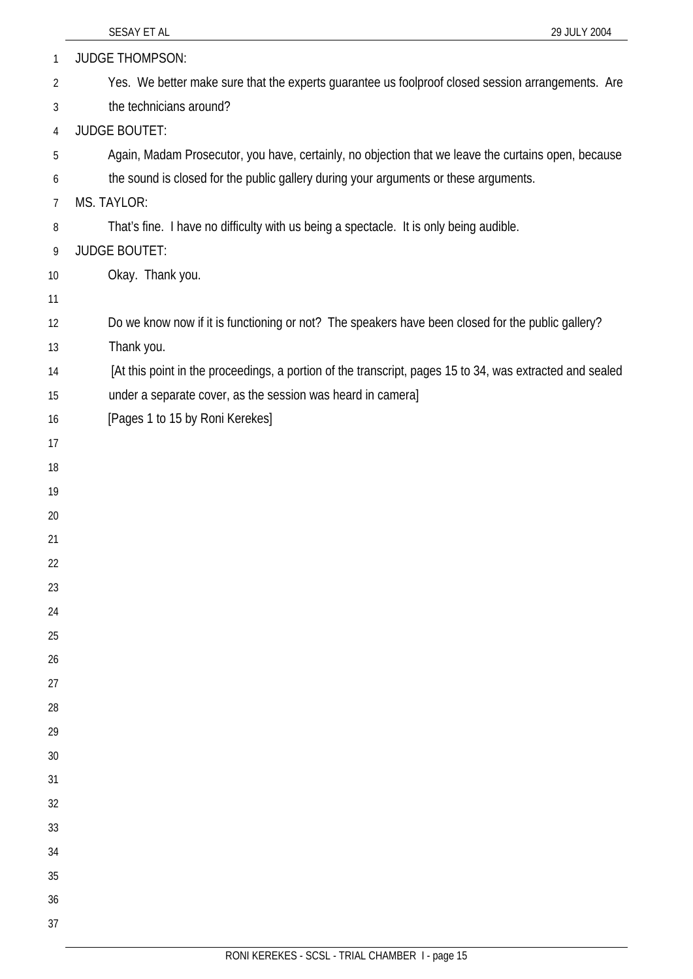| $\mathbf{1}$   | <b>JUDGE THOMPSON:</b>                                                                                   |
|----------------|----------------------------------------------------------------------------------------------------------|
| $\overline{2}$ | Yes. We better make sure that the experts guarantee us foolproof closed session arrangements. Are        |
| 3              | the technicians around?                                                                                  |
| 4              | <b>JUDGE BOUTET:</b>                                                                                     |
| 5              | Again, Madam Prosecutor, you have, certainly, no objection that we leave the curtains open, because      |
| 6              | the sound is closed for the public gallery during your arguments or these arguments.                     |
| $\overline{7}$ | MS. TAYLOR:                                                                                              |
| 8              | That's fine. I have no difficulty with us being a spectacle. It is only being audible.                   |
| 9              | <b>JUDGE BOUTET:</b>                                                                                     |
| 10             | Okay. Thank you.                                                                                         |
| 11             |                                                                                                          |
| 12             | Do we know now if it is functioning or not? The speakers have been closed for the public gallery?        |
| 13             | Thank you.                                                                                               |
| 14             | [At this point in the proceedings, a portion of the transcript, pages 15 to 34, was extracted and sealed |
| 15             | under a separate cover, as the session was heard in camera]                                              |
| 16             | [Pages 1 to 15 by Roni Kerekes]                                                                          |
| 17             |                                                                                                          |
| 18             |                                                                                                          |
| 19             |                                                                                                          |
| 20             |                                                                                                          |
| 21             |                                                                                                          |
| 22             |                                                                                                          |
| 23             |                                                                                                          |
| 24             |                                                                                                          |
| 25             |                                                                                                          |
| 26             |                                                                                                          |
| 27             |                                                                                                          |
| 28<br>29       |                                                                                                          |
| 30             |                                                                                                          |
| 31             |                                                                                                          |
| 32             |                                                                                                          |
| 33             |                                                                                                          |
| 34             |                                                                                                          |
| 35             |                                                                                                          |
| 36             |                                                                                                          |
| 37             |                                                                                                          |
|                |                                                                                                          |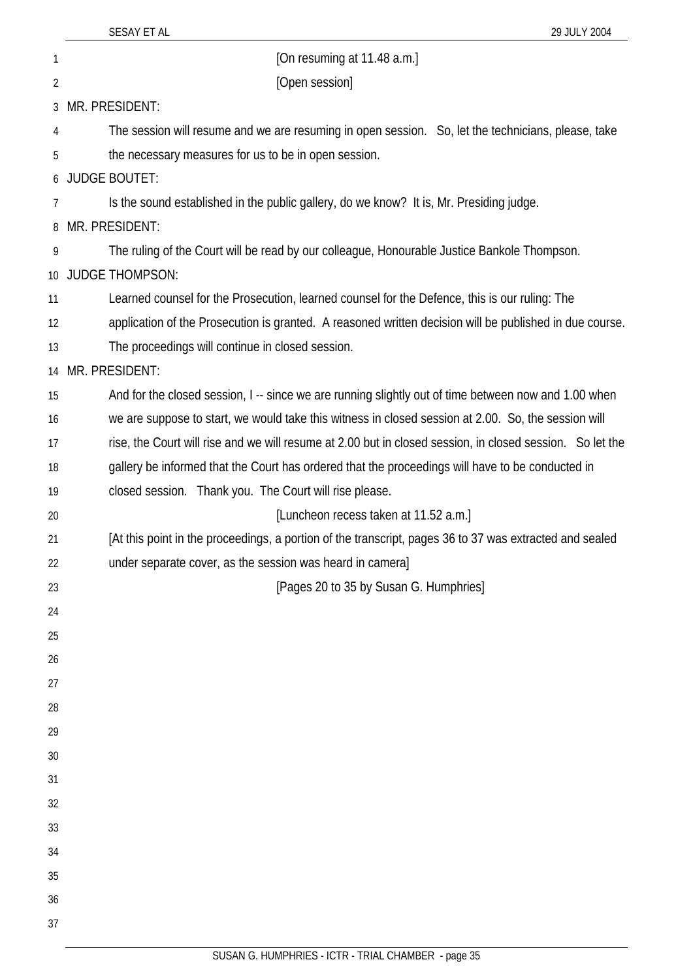| 1        | [On resuming at 11.48 a.m.]                                                                               |
|----------|-----------------------------------------------------------------------------------------------------------|
| 2        | [Open session]                                                                                            |
| 3        | MR. PRESIDENT:                                                                                            |
| 4        | The session will resume and we are resuming in open session. So, let the technicians, please, take        |
| 5        | the necessary measures for us to be in open session.                                                      |
|          | 6 JUDGE BOUTET:                                                                                           |
| 7        | Is the sound established in the public gallery, do we know? It is, Mr. Presiding judge.                   |
| 8        | MR. PRESIDENT:                                                                                            |
| 9        | The ruling of the Court will be read by our colleague, Honourable Justice Bankole Thompson.               |
|          | 10 JUDGE THOMPSON:                                                                                        |
| 11       | Learned counsel for the Prosecution, learned counsel for the Defence, this is our ruling: The             |
| 12       | application of the Prosecution is granted. A reasoned written decision will be published in due course.   |
| 13       | The proceedings will continue in closed session.                                                          |
|          | 14 MR. PRESIDENT:                                                                                         |
| 15       | And for the closed session, I -- since we are running slightly out of time between now and 1.00 when      |
| 16       | we are suppose to start, we would take this witness in closed session at 2.00. So, the session will       |
| 17       | rise, the Court will rise and we will resume at 2.00 but in closed session, in closed session. So let the |
| 18       | gallery be informed that the Court has ordered that the proceedings will have to be conducted in          |
| 19       | closed session. Thank you. The Court will rise please.                                                    |
| 20       | [Luncheon recess taken at 11.52 a.m.]                                                                     |
| 21       | [At this point in the proceedings, a portion of the transcript, pages 36 to 37 was extracted and sealed   |
| 22       | under separate cover, as the session was heard in camera]                                                 |
| 23       | [Pages 20 to 35 by Susan G. Humphries]                                                                    |
| 24       |                                                                                                           |
| 25       |                                                                                                           |
| 26       |                                                                                                           |
| 27       |                                                                                                           |
| 28       |                                                                                                           |
| 29       |                                                                                                           |
| 30       |                                                                                                           |
| 31<br>32 |                                                                                                           |
| 33       |                                                                                                           |
| 34       |                                                                                                           |
| 35       |                                                                                                           |
| 36       |                                                                                                           |
| 37       |                                                                                                           |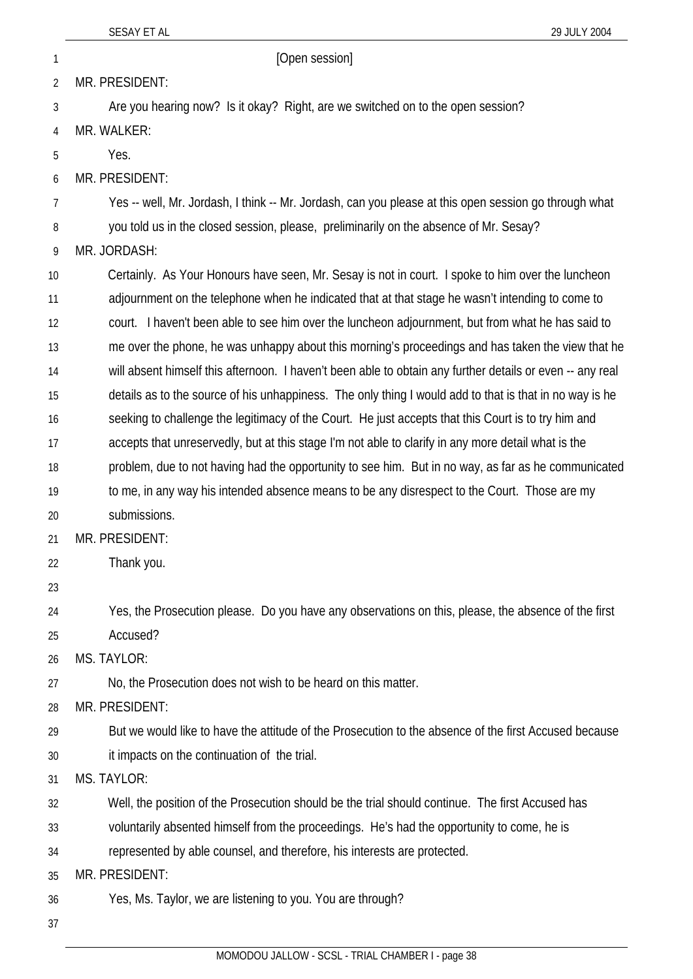SESAY ET AL 29 JULY 2004 1 **Den** session 2 3 4 5 6 7 8 9 10 11 12 13 14 15 16 17 18 19 20 21 22 23 24 25  $26$ 27 28 29 30 31 32 MR. PRESIDENT: Are you hearing now? Is it okay? Right, are we switched on to the open session? MR. WALKER: Yes. MR. PRESIDENT: Yes -- well, Mr. Jordash, I think -- Mr. Jordash, can you please at this open session go through what you told us in the closed session, please, preliminarily on the absence of Mr. Sesay? MR. JORDASH: Certainly. As Your Honours have seen, Mr. Sesay is not in court. I spoke to him over the luncheon adjournment on the telephone when he indicated that at that stage he wasn't intending to come to court. I haven't been able to see him over the luncheon adjournment, but from what he has said to me over the phone, he was unhappy about this morning's proceedings and has taken the view that he will absent himself this afternoon. I haven't been able to obtain any further details or even -- any real details as to the source of his unhappiness. The only thing I would add to that is that in no way is he seeking to challenge the legitimacy of the Court. He just accepts that this Court is to try him and accepts that unreservedly, but at this stage I'm not able to clarify in any more detail what is the problem, due to not having had the opportunity to see him. But in no way, as far as he communicated to me, in any way his intended absence means to be any disrespect to the Court. Those are my submissions. MR. PRESIDENT: Thank you. Yes, the Prosecution please. Do you have any observations on this, please, the absence of the first Accused? MS. TAYLOR: No, the Prosecution does not wish to be heard on this matter. MR. PRESIDENT: But we would like to have the attitude of the Prosecution to the absence of the first Accused because it impacts on the continuation of the trial. MS. TAYLOR: Well, the position of the Prosecution should be the trial should continue. The first Accused has

voluntarily absented himself from the proceedings. He's had the opportunity to come, he is represented by able counsel, and therefore, his interests are protected.

35 MR. PRESIDENT:

36 Yes, Ms. Taylor, we are listening to you. You are through?

37

33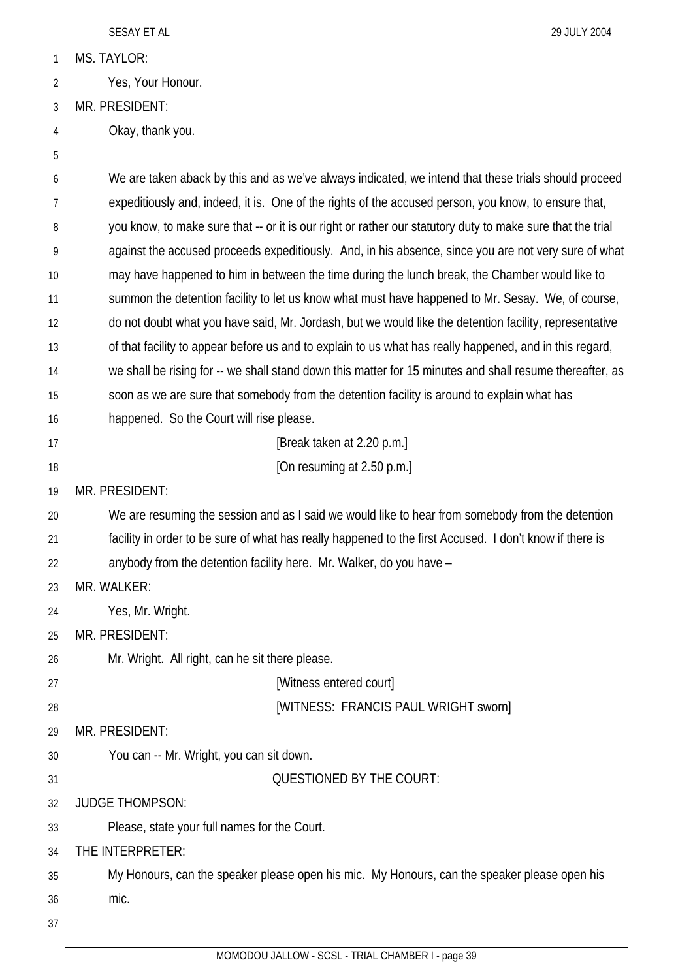1 MS. TAYLOR:

2 Yes, Your Honour.

3 MR. PRESIDENT:

- 4 Okay, thank you.
- 5

6 7 8 9 10 11 12 13 14 15 16 17 18 19 20 21 22 23 24 25 26 27 28 29 30 31 32 33 34 35 36 We are taken aback by this and as we've always indicated, we intend that these trials should proceed expeditiously and, indeed, it is. One of the rights of the accused person, you know, to ensure that, you know, to make sure that -- or it is our right or rather our statutory duty to make sure that the trial against the accused proceeds expeditiously. And, in his absence, since you are not very sure of what may have happened to him in between the time during the lunch break, the Chamber would like to summon the detention facility to let us know what must have happened to Mr. Sesay. We, of course, do not doubt what you have said, Mr. Jordash, but we would like the detention facility, representative of that facility to appear before us and to explain to us what has really happened, and in this regard, we shall be rising for -- we shall stand down this matter for 15 minutes and shall resume thereafter, as soon as we are sure that somebody from the detention facility is around to explain what has happened. So the Court will rise please. [Break taken at 2.20 p.m.] [On resuming at 2.50 p.m.] MR. PRESIDENT: We are resuming the session and as I said we would like to hear from somebody from the detention facility in order to be sure of what has really happened to the first Accused. I don't know if there is anybody from the detention facility here. Mr. Walker, do you have – MR. WALKER: Yes, Mr. Wright. MR. PRESIDENT: Mr. Wright. All right, can he sit there please. [Witness entered court] [WITNESS: FRANCIS PAUL WRIGHT sworn] MR. PRESIDENT: You can -- Mr. Wright, you can sit down. QUESTIONED BY THE COURT: JUDGE THOMPSON: Please, state your full names for the Court. THE INTERPRETER: My Honours, can the speaker please open his mic. My Honours, can the speaker please open his mic.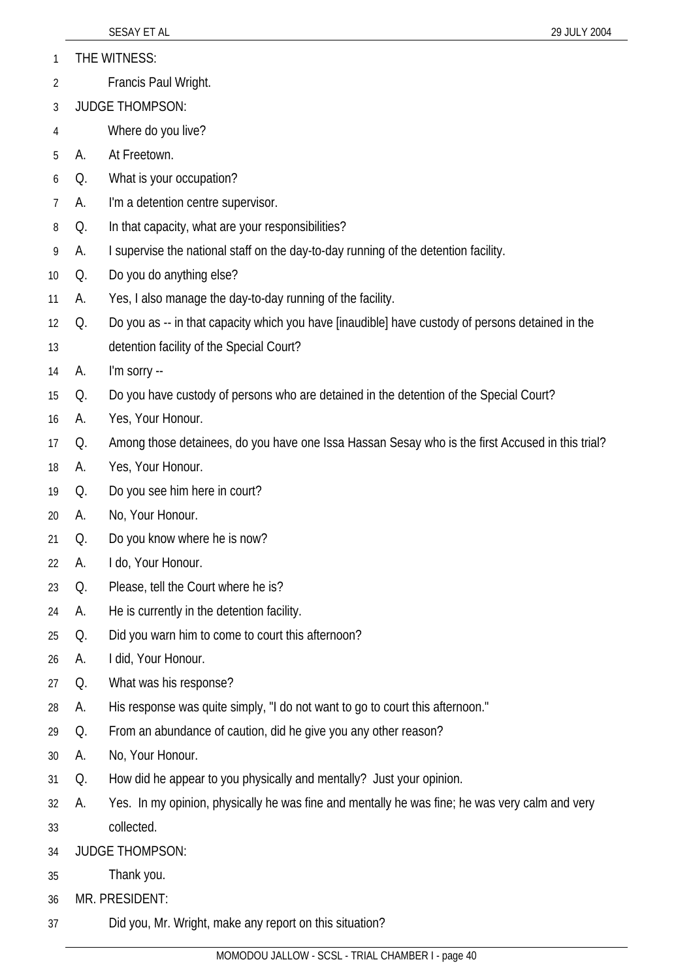|  | THE WITNESS: |
|--|--------------|
|--|--------------|

- 2 Francis Paul Wright.
- 3 JUDGE THOMPSON:
- 4 Where do you live?
- 5 A. At Freetown.
- 6 Q. What is your occupation?
- 7 A. I'm a detention centre supervisor.
- 8 Q. In that capacity, what are your responsibilities?
- 9 A. I supervise the national staff on the day-to-day running of the detention facility.
- 10 Q. Do you do anything else?
- 11 A. Yes, I also manage the day-to-day running of the facility.
- 12 Q. Do you as -- in that capacity which you have [inaudible] have custody of persons detained in the
- 13 detention facility of the Special Court?
- 14 A. I'm sorry --
- 15 Q. Do you have custody of persons who are detained in the detention of the Special Court?
- 16 A. Yes, Your Honour.
- 17 Q. Among those detainees, do you have one Issa Hassan Sesay who is the first Accused in this trial?
- 18 A. Yes, Your Honour.
- 19 Q. Do you see him here in court?
- 20 A. No, Your Honour.
- 21 Q. Do you know where he is now?
- 22 A. I do, Your Honour.
- 23 Q. Please, tell the Court where he is?
- 24 A. He is currently in the detention facility.
- 25 Q. Did you warn him to come to court this afternoon?
- 26 A. I did, Your Honour.
- 27 Q. What was his response?
- 28 A. His response was quite simply, "I do not want to go to court this afternoon."
- 29 Q. From an abundance of caution, did he give you any other reason?
- 30 A. No, Your Honour.
- 31 Q. How did he appear to you physically and mentally? Just your opinion.
- 32 33 A. Yes. In my opinion, physically he was fine and mentally he was fine; he was very calm and very collected.
- 34 JUDGE THOMPSON:
- 35 Thank you.
- 36 MR. PRESIDENT:
- 37 Did you, Mr. Wright, make any report on this situation?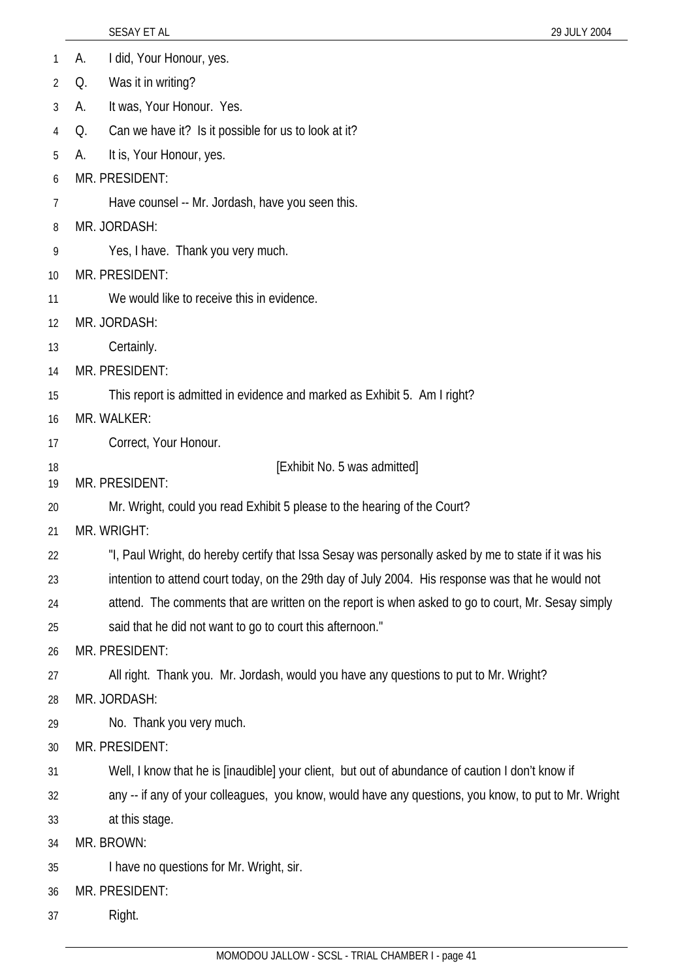| 1               | I did, Your Honour, yes.<br>А.                                                                       |
|-----------------|------------------------------------------------------------------------------------------------------|
| 2               | Was it in writing?<br>Q.                                                                             |
| 3               | It was, Your Honour. Yes.<br>А.                                                                      |
| 4               | Can we have it? Is it possible for us to look at it?<br>Q.                                           |
| 5               | It is, Your Honour, yes.<br>А.                                                                       |
| 6               | MR. PRESIDENT:                                                                                       |
| 7               | Have counsel -- Mr. Jordash, have you seen this.                                                     |
| 8               | MR. JORDASH:                                                                                         |
| 9               | Yes, I have. Thank you very much.                                                                    |
| 10 <sup>°</sup> | MR. PRESIDENT:                                                                                       |
| 11              | We would like to receive this in evidence.                                                           |
| 12              | MR. JORDASH:                                                                                         |
| 13              | Certainly.                                                                                           |
| 14              | MR. PRESIDENT:                                                                                       |
| 15              | This report is admitted in evidence and marked as Exhibit 5. Am I right?                             |
| 16              | MR. WALKER:                                                                                          |
| 17              | Correct, Your Honour.                                                                                |
| 18              | [Exhibit No. 5 was admitted]                                                                         |
| 19              | MR. PRESIDENT:                                                                                       |
| 20              | Mr. Wright, could you read Exhibit 5 please to the hearing of the Court?                             |
| 21              | MR. WRIGHT:                                                                                          |
| 22              | "I, Paul Wright, do hereby certify that Issa Sesay was personally asked by me to state if it was his |
| 23              | intention to attend court today, on the 29th day of July 2004. His response was that he would not    |
| 24              | attend. The comments that are written on the report is when asked to go to court, Mr. Sesay simply   |
| 25              | said that he did not want to go to court this afternoon."<br>MR. PRESIDENT:                          |
| 26<br>27        | All right. Thank you. Mr. Jordash, would you have any questions to put to Mr. Wright?                |
| 28              | MR. JORDASH:                                                                                         |
| 29              | No. Thank you very much.                                                                             |
| 30              | MR. PRESIDENT:                                                                                       |
| 31              | Well, I know that he is [inaudible] your client, but out of abundance of caution I don't know if     |
| 32              | any -- if any of your colleagues, you know, would have any questions, you know, to put to Mr. Wright |
| 33              | at this stage.                                                                                       |
| 34              | MR. BROWN:                                                                                           |
| 35              | I have no questions for Mr. Wright, sir.                                                             |
| 36              | MR. PRESIDENT:                                                                                       |
| 37              | Right.                                                                                               |
|                 |                                                                                                      |

SESAY ET AL 29 JULY 2004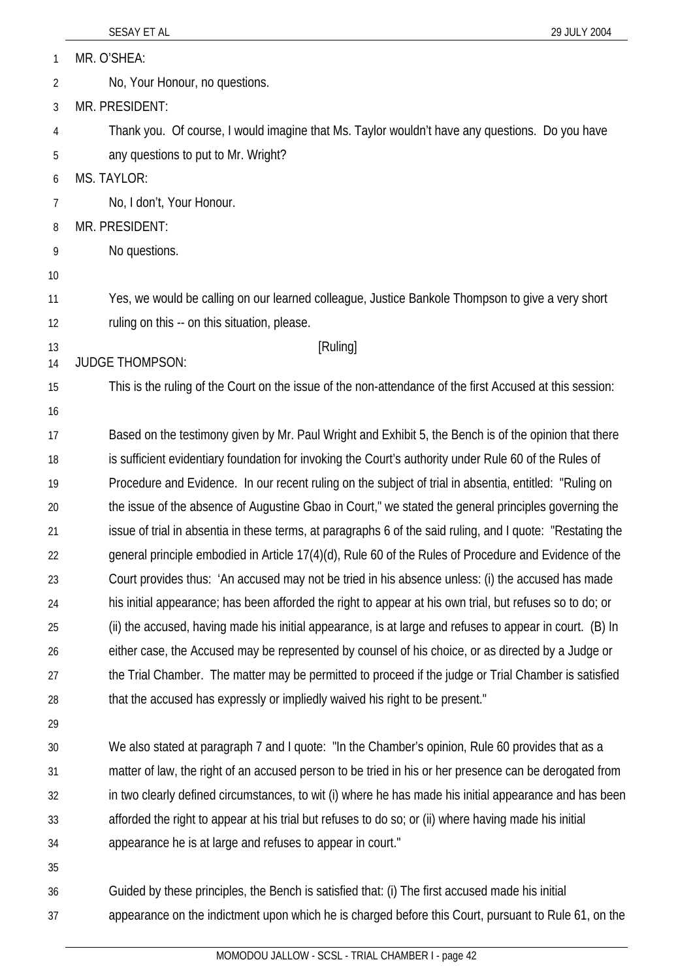1 MR. O'SHEA:

- 2 No, Your Honour, no questions.
- 3 MR. PRESIDENT:

4 5 Thank you. Of course, I would imagine that Ms. Taylor wouldn't have any questions. Do you have any questions to put to Mr. Wright?

6 MS. TAYLOR:

- 7 No, I don't, Your Honour.
- 8 MR. PRESIDENT:
- 9 No questions.
- 10
- 11 12 Yes, we would be calling on our learned colleague, Justice Bankole Thompson to give a very short ruling on this -- on this situation, please.

[Ruling]

13 14 JUDGE THOMPSON:

15 This is the ruling of the Court on the issue of the non-attendance of the first Accused at this session:

16

17 18 19 20 21  $22$ 23 24 25 26 27 28 Based on the testimony given by Mr. Paul Wright and Exhibit 5, the Bench is of the opinion that there is sufficient evidentiary foundation for invoking the Court's authority under Rule 60 of the Rules of Procedure and Evidence. In our recent ruling on the subject of trial in absentia, entitled: "Ruling on the issue of the absence of Augustine Gbao in Court," we stated the general principles governing the issue of trial in absentia in these terms, at paragraphs 6 of the said ruling, and I quote: "Restating the general principle embodied in Article 17(4)(d), Rule 60 of the Rules of Procedure and Evidence of the Court provides thus: 'An accused may not be tried in his absence unless: (i) the accused has made his initial appearance; has been afforded the right to appear at his own trial, but refuses so to do; or (ii) the accused, having made his initial appearance, is at large and refuses to appear in court. (B) In either case, the Accused may be represented by counsel of his choice, or as directed by a Judge or the Trial Chamber. The matter may be permitted to proceed if the judge or Trial Chamber is satisfied that the accused has expressly or impliedly waived his right to be present."

29

30 31 32 33 34 We also stated at paragraph 7 and I quote: "In the Chamber's opinion, Rule 60 provides that as a matter of law, the right of an accused person to be tried in his or her presence can be derogated from in two clearly defined circumstances, to wit (i) where he has made his initial appearance and has been afforded the right to appear at his trial but refuses to do so; or (ii) where having made his initial appearance he is at large and refuses to appear in court."

35

36 37 Guided by these principles, the Bench is satisfied that: (i) The first accused made his initial appearance on the indictment upon which he is charged before this Court, pursuant to Rule 61, on the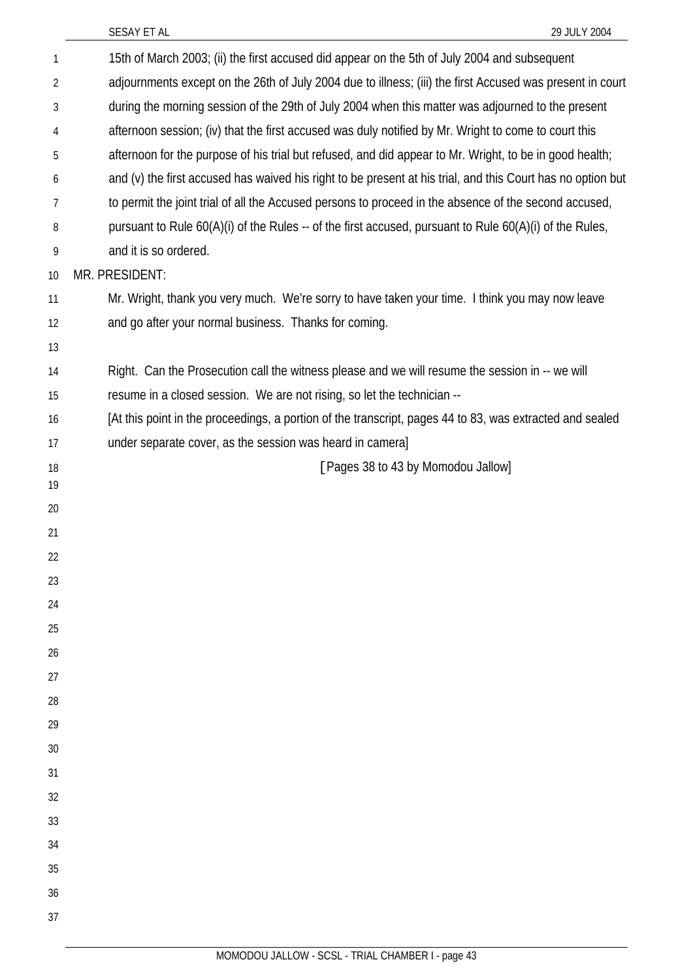| $\mathbf{1}$ | 15th of March 2003; (ii) the first accused did appear on the 5th of July 2004 and subsequent                |
|--------------|-------------------------------------------------------------------------------------------------------------|
| 2            | adjournments except on the 26th of July 2004 due to illness; (iii) the first Accused was present in court   |
| 3            | during the morning session of the 29th of July 2004 when this matter was adjourned to the present           |
| 4            | afternoon session; (iv) that the first accused was duly notified by Mr. Wright to come to court this        |
| 5            | afternoon for the purpose of his trial but refused, and did appear to Mr. Wright, to be in good health;     |
| 6            | and (v) the first accused has waived his right to be present at his trial, and this Court has no option but |
| 7            | to permit the joint trial of all the Accused persons to proceed in the absence of the second accused,       |
| 8            | pursuant to Rule 60(A)(i) of the Rules -- of the first accused, pursuant to Rule 60(A)(i) of the Rules,     |
| 9            | and it is so ordered.                                                                                       |
| 10           | MR. PRESIDENT:                                                                                              |
| 11           | Mr. Wright, thank you very much. We're sorry to have taken your time. I think you may now leave             |
| 12           | and go after your normal business. Thanks for coming.                                                       |
| 13           |                                                                                                             |
| 14           | Right. Can the Prosecution call the witness please and we will resume the session in -- we will             |
| 15           | resume in a closed session. We are not rising, so let the technician --                                     |
| 16           | [At this point in the proceedings, a portion of the transcript, pages 44 to 83, was extracted and sealed    |
| 17           | under separate cover, as the session was heard in camera]                                                   |
| 18           | [Pages 38 to 43 by Momodou Jallow]                                                                          |
| 19           |                                                                                                             |
| 20           |                                                                                                             |
| 21           |                                                                                                             |
| 22           |                                                                                                             |
| 23<br>24     |                                                                                                             |
| 25           |                                                                                                             |
| 26           |                                                                                                             |
| 27           |                                                                                                             |
| 28           |                                                                                                             |
| 29           |                                                                                                             |
| 30           |                                                                                                             |
| 31           |                                                                                                             |
| 32           |                                                                                                             |
| 33           |                                                                                                             |
| 34           |                                                                                                             |
| 35           |                                                                                                             |
| 36           |                                                                                                             |
| 37           |                                                                                                             |
|              |                                                                                                             |